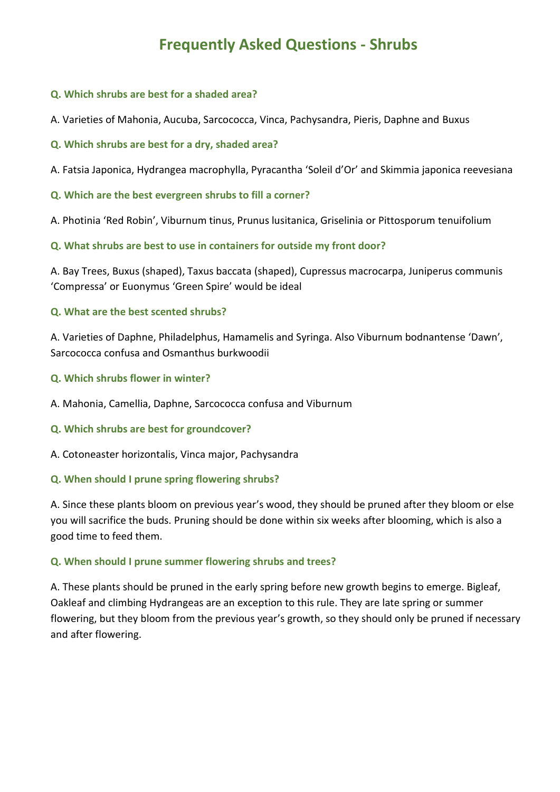# **Frequently Asked Questions - Shrubs**

#### **Q. Which shrubs are best for a shaded area?**

A. Varieties of Mahonia, Aucuba, Sarcococca, Vinca, Pachysandra, Pieris, Daphne and Buxus

# **Q. Which shrubs are best for a dry, shaded area?**

A. Fatsia Japonica, Hydrangea macrophylla, Pyracantha 'Soleil d'Or' and Skimmia japonica reevesiana

# **Q. Which are the best evergreen shrubs to fill a corner?**

A. Photinia 'Red Robin', Viburnum tinus, Prunus lusitanica, Griselinia or Pittosporum tenuifolium

**Q. What shrubs are best to use in containers for outside my front door?**

A. Bay Trees, Buxus (shaped), Taxus baccata (shaped), Cupressus macrocarpa, Juniperus communis 'Compressa' or Euonymus 'Green Spire' would be ideal

# **Q. What are the best scented shrubs?**

A. Varieties of Daphne, Philadelphus, Hamamelis and Syringa. Also Viburnum bodnantense 'Dawn', Sarcococca confusa and Osmanthus burkwoodii

# **Q. Which shrubs flower in winter?**

A. Mahonia, Camellia, Daphne, Sarcococca confusa and Viburnum

#### **Q. Which shrubs are best for groundcover?**

A. Cotoneaster horizontalis, Vinca major, Pachysandra

#### **Q. When should I prune spring flowering shrubs?**

A. Since these plants bloom on previous year's wood, they should be pruned after they bloom or else you will sacrifice the buds. Pruning should be done within six weeks after blooming, which is also a good time to feed them.

# **Q. When should I prune summer flowering shrubs and trees?**

A. These plants should be pruned in the early spring before new growth begins to emerge. Bigleaf, Oakleaf and climbing Hydrangeas are an exception to this rule. They are late spring or summer flowering, but they bloom from the previous year's growth, so they should only be pruned if necessary and after flowering.